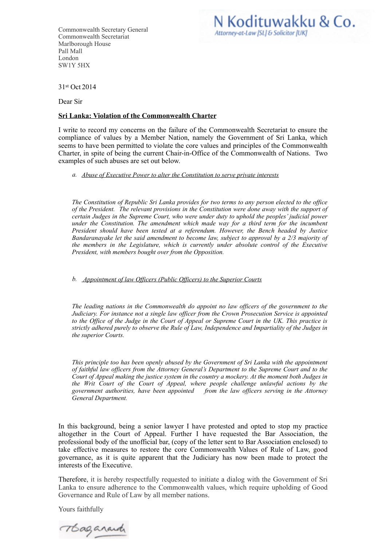Commonwealth Secretary General Commonwealth Secretariat Marlborough House Pall Mall London SW1Y 5HX

## N Kodituwakku & Co. Attorney-at-Law [SL] & Solicitor [UK]

31st Oct 2014

Dear Sir

## **Sri Lanka: Violation of the Commonwealth Charter**

I write to record my concerns on the failure of the Commonwealth Secretariat to ensure the compliance of values by a Member Nation, namely the Government of Sri Lanka, which seems to have been permitted to violate the core values and principles of the Commonwealth Charter, in spite of being the current Chair-in-Office of the Commonwealth of Nations. Two examples of such abuses are set out below.

## *a. Abuse of Executive Power to alter the Constitution to serve private interests*

*The Constitution of Republic Sri Lanka provides for two terms to any person elected to the office of the President. The relevant provisions in the Constitution were done away with the support of certain Judges in the Supreme Court, who were under duty to uphold the peoples' judicial power under the Constitution. The amendment which made way for a third term for the incumbent President should have been tested at a referendum. However, the Bench headed by Justice Bandaranayake let the said amendment to become law, subject to approval by a 2/3 majority of the members in the Legislature, which is currently under absolute control of the Executive President, with members bought over from the Opposition.* 

## *b. Appointment of law Officers (Public Officers) to the Superior Courts*

*The leading nations in the Commonwealth do appoint no law officers of the government to the Judiciary. For instance not a single law officer from the Crown Prosecution Service is appointed to the Office of the Judge in the Court of Appeal or Supreme Court in the UK. This practice is strictly adhered purely to observe the Rule of Law, Independence and Impartiality of the Judges in the superior Courts.* 

*This principle too has been openly abused by the Government of Sri Lanka with the appointment of faithful law officers from the Attorney General's Department to the Supreme Court and to the Court of Appeal making the justice system in the country a mockery. At the moment both Judges in the Writ Court of the Court of Appeal, where people challenge unlawful actions by the government authorities, have been appointed from the law officers serving in the Attorney General Department.* 

In this background, being a senior lawyer I have protested and opted to stop my practice altogether in the Court of Appeal. Further I have requested the Bar Association, the professional body of the unofficial bar, (copy of the letter sent to Bar Association enclosed) to take effective measures to restore the core Commonwealth Values of Rule of Law, good governance, as it is quite apparent that the Judiciary has now been made to protect the interests of the Executive.

Therefore, it is hereby respectfully requested to initiate a dialog with the Government of Sri Lanka to ensure adherence to the Commonwealth values, which require upholding of Good Governance and Rule of Law by all member nations.

Yours faithfully

Thaganand